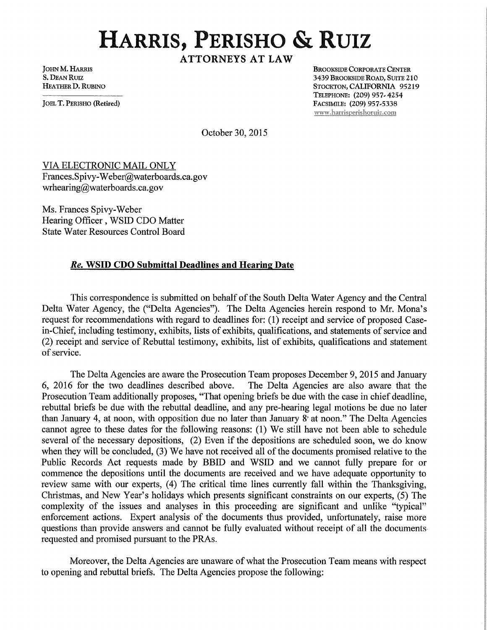## **HARRIS, PERISHO & RUIZ**

**ATTORNEYS AT LAW** 

JoHN M. HARRIS S.DEANRUIZ HEATHER D. RUBINO

JOEL T. PERISHO (Retired)

BROOKSIDE CORPORATE CENTER 3439 BROOKSIDE ROAD, SUITE 210 STOCKTON, CALIFORNIA 95219 'TELEPHONE: (209) 957-4254 FACSIMILE: (209) 957-5338 www.harrisperishoruiz.com

October 30, 2015

VIA ELECTRONIC MAIL ONLY Frances.Spivy-Weber@waterboards.ca.gov wrhearing@waterboards.ca.gov

Ms. Frances Spivy-Weber Hearing Officer , WSID CDO Matter State Water Resources Control Board

## *Re.* **WSID CDO Submittal Deadlines and Hearing Date**

This correspondence is submitted on behalf of the South Delta Water Agency and the Central Delta Water Agency, the ("Delta Agencies"). The Delta Agencies herein respond to Mr. Mona's request for recommendations with regard to deadlines for: ( 1) receipt and service of proposed Casein-Chief, including testimony, exhibits, lists of exhibits, qualifications, and statements of service and (2) receipt and service of Rebuttal testimony, exhibits, list of exhibits, qualifications and statement of service.

The Delta Agencies are aware the Prosecution Team proposes December 9, 2015 and January 6, 2016 for the two deadlines described above. The Delta Agencies are also aware that the Prosecution Team additionally proposes, "That opening briefs be due with the case in chief deadline, rebuttal briefs be due with the rebuttal deadline, and any pre-hearing legal motions be due no later than January 4, at noon, with opposition due no later than January 8' at noon." The Delta Agencies cannot agree to these dates for the following reasons: (1) We still have not been able to schedule several of the necessary depositions, (2) Even if the depositions are scheduled soon, we do know when they will be concluded, (3) We have not received all of the documents promised relative to the Public Records Act requests made by BBID and WSID and we cannot fully prepare for or commence the depositions until the documents are received and we have adequate opportunity to review same with our experts, (4) The critical time lines currently fall within the Thanksgiving, Christmas, and New Year's holidays which presents significant constraints on our experts, (5) The complexity of the issues and analyses in this proceeding are significant and unlike "typical" enforcement actions. Expert analysis of the documents thus provided, unfortunately, raise more questions than provide answers and cannot be fully evaluated without receipt of all the documents requested and promised pursuant to the PRAs.

Moreover, the Delta Agencies are unaware of what the Prosecution Team means with respect to opening and rebuttal briefs. The Delta Agencies propose the following: